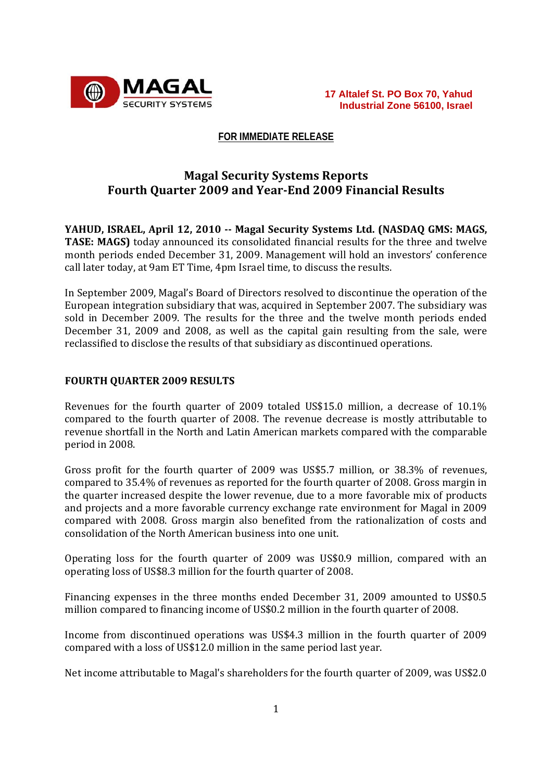

#### **FOR IMMEDIATE RELEASE**

# **Magal Security Systems Reports Fourth Quarter 2009 and YearEnd 2009 Financial Results**

**YAHUD, ISRAEL, April 12, 2010 Magal Security Systems Ltd. (NASDAQ GMS: MAGS, TASE: MAGS)** today announced its consolidated financial results for the three and twelve month periods ended December 31, 2009. Management will hold an investors' conference call later today, at 9am ET Time, 4pm Israel time, to discuss the results.

In September 2009, Magal's Board of Directors resolved to discontinue the operation of the European integration subsidiary that was, acquired in September 2007. The subsidiary was sold in December 2009. The results for the three and the twelve month periods ended December 31, 2009 and 2008, as well as the capital gain resulting from the sale, were reclassified to disclose the results of that subsidiary as discontinued operations.

#### **FOURTH QUARTER 2009 RESULTS**

Revenues for the fourth quarter of 2009 totaled US\$15.0 million, a decrease of 10.1% compared to the fourth quarter of 2008. The revenue decrease is mostly attributable to revenue shortfall in the North and Latin American markets compared with the comparable period in 2008.

Gross profit for the fourth quarter of 2009 was US\$5.7 million, or 38.3% of revenues, compared to 35.4% of revenues as reported for the fourth quarter of 2008. Gross margin in the quarter increased despite the lower revenue, due to a more favorable mix of products and projects and a more favorable currency exchange rate environment for Magal in 2009 compared with 2008. Gross margin also benefited from the rationalization of costs and consolidation of the North American business into one unit.

Operating loss for the fourth quarter of 2009 was US\$0.9 million, compared with an operating loss of US\$8.3 million for the fourth quarter of 2008.

Financing expenses in the three months ended December 31, 2009 amounted to US\$0.5 million compared to financing income of US\$0.2 million in the fourth quarter of 2008.

Income from discontinued operations was US\$4.3 million in the fourth quarter of 2009 compared with a loss of US\$12.0 million in the same period last year.

Net income attributable to Magal's shareholders for the fourth quarter of 2009, was US\$2.0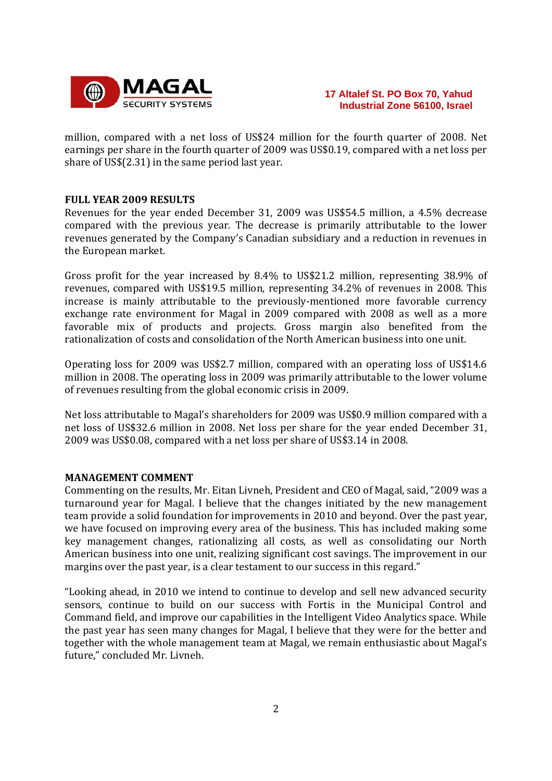

million, compared with a net loss of US\$24 million for the fourth quarter of 2008. Net earnings per share in the fourth quarter of 2009 was US\$0.19, compared with a net loss per share of US\$(2.31) in the same period last year.

#### **FULL YEAR 2009 RESULTS**

Revenues for the year ended December 31, 2009 was US\$54.5 million, a 4.5% decrease compared with the previous year. The decrease is primarily attributable to the lower revenues generated by the Company's Canadian subsidiary and a reduction in revenues in the European market.

Gross profit for the year increased by 8.4% to US\$21.2 million, representing 38.9% of revenues, compared with US\$19.5 million, representing 34.2% of revenues in 2008. This increase is mainly attributable to the previously‐mentioned more favorable currency exchange rate environment for Magal in 2009 compared with 2008 as well as a more favorable mix of products and projects. Gross margin also benefited from the rationalization of costs and consolidation of the North American business into one unit.

Operating loss for 2009 was US\$2.7 million, compared with an operating loss of US\$14.6 million in 2008. The operating loss in 2009 was primarily attributable to the lower volume of revenues resulting from the global economic crisis in 2009.

Net loss attributable to Magal's shareholders for 2009 was US\$0.9 million compared with a net loss of US\$32.6 million in 2008. Net loss per share for the year ended December 31, 2009 was US\$0.08, compared with a net loss per share of US\$3.14 in 2008.

#### **MANAGEMENT COMMENT**

Commenting on the results, Mr. Eitan Livneh, President and CEO of Magal, said, "2009 was a turnaround year for Magal. I believe that the changes initiated by the new management team provide a solid foundation for improvements in 2010 and beyond. Over the past year, we have focused on improving every area of the business. This has included making some key management changes, rationalizing all costs, as well as consolidating our North American business into one unit, realizing significant cost savings. The improvement in our margins over the past year, is a clear testament to our success in this regard."

"Looking ahead, in 2010 we intend to continue to develop and sell new advanced security sensors, continue to build on our success with Fortis in the Municipal Control and Command field, and improve our capabilities in the Intelligent Video Analytics space. While the past year has seen many changes for Magal, I believe that they were for the better and together with the whole management team at Magal, we remain enthusiastic about Magal's future," concluded Mr. Livneh.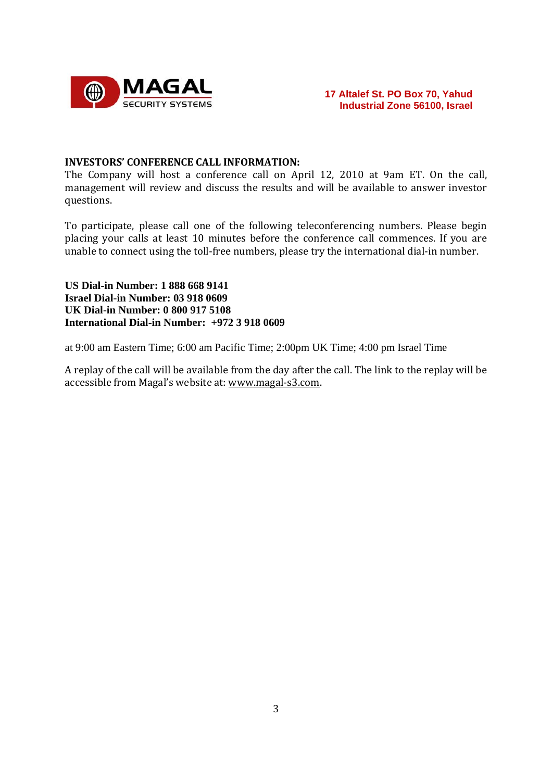

#### **INVESTORS' CONFERENCE CALL INFORMATION:**

The Company will host a conference call on April 12, 2010 at 9am ET. On the call, management will review and discuss the results and will be available to answer investor questions.

To participate, please call one of the following teleconferencing numbers. Please begin placing your calls at least 10 minutes before the conference call commences. If you are unable to connect using the toll‐free numbers, please try the international dial‐in number.

**US Dial-in Number: 1 888 668 9141 Israel Dial-in Number: 03 918 0609 UK Dial-in Number: 0 800 917 5108 International Dial-in Number: +972 3 918 0609** 

at 9:00 am Eastern Time; 6:00 am Pacific Time; 2:00pm UK Time; 4:00 pm Israel Time

A replay of the call will be available from the day after the call. The link to the replay will be accessible from Magal's website at: www.magal‐s3.com.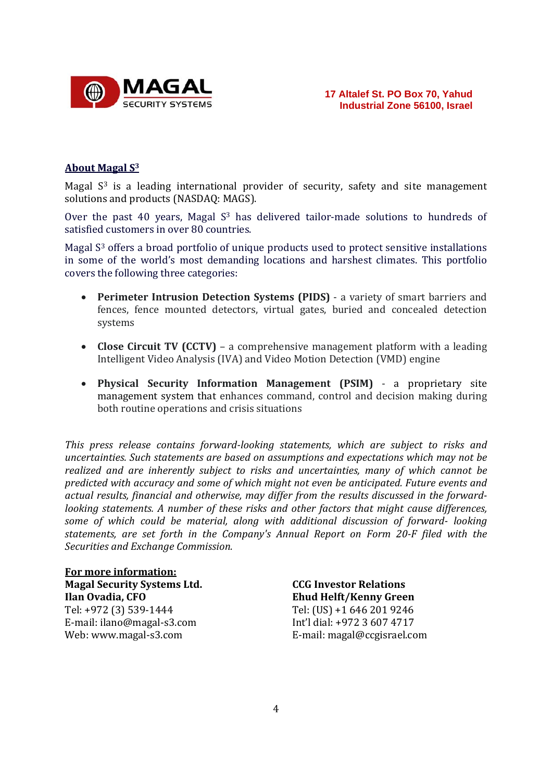

## **About Magal S3**

Magal  $S<sup>3</sup>$  is a leading international provider of security, safety and site management solutions and products (NASDAQ: MAGS).

Over the past 40 years, Magal  $S<sup>3</sup>$  has delivered tailor-made solutions to hundreds of satisfied customers in over 80 countries.

Magal S<sup>3</sup> offers a broad portfolio of unique products used to protect sensitive installations in some of the world's most demanding locations and harshest climates. This portfolio covers the following three categories:

- **Perimeter Intrusion Detection Systems (PIDS)** ‐ a variety of smart barriers and fences, fence mounted detectors, virtual gates, buried and concealed detection systems
- **Close Circuit TV (CCTV)** a comprehensive management platform with a leading Intelligent Video Analysis (IVA) and Video Motion Detection (VMD) engine
- **Physical Security Information Management (PSIM)** ‐ a proprietary site management system that enhances command, control and decision making during both routine operations and crisis situations

*This press release contains forwardlooking statements, which are subject to risks and uncertainties. Such statements are based on assumptions and expectations which may not be realized and are inherently subject to risks and uncertainties, many of which cannot be predicted with accuracy and some of which might not even be anticipated. Future events and actual results, financial and otherwise, may differ from the results discussed in the forwardlooking statements. A number of these risks and other factors that might cause differences, some of which could be material, along with additional discussion of forward looking statements, are set forth in the Company's Annual Report on Form 20F filed with the Securities and Exchange Commission.*

**For more information: Magal Security Systems Ltd. Ilan Ovadia, CFO** Tel: +972 (3) 539‐1444 E‐mail: ilano@magal‐s3.com Web: www.magal‐s3.com

**CCG Investor Relations Ehud Helft/Kenny Green** Tel: (US) +1 646 201 9246 Int'l dial: +972 3 607 4717 E‐mail: magal@ccgisrael.com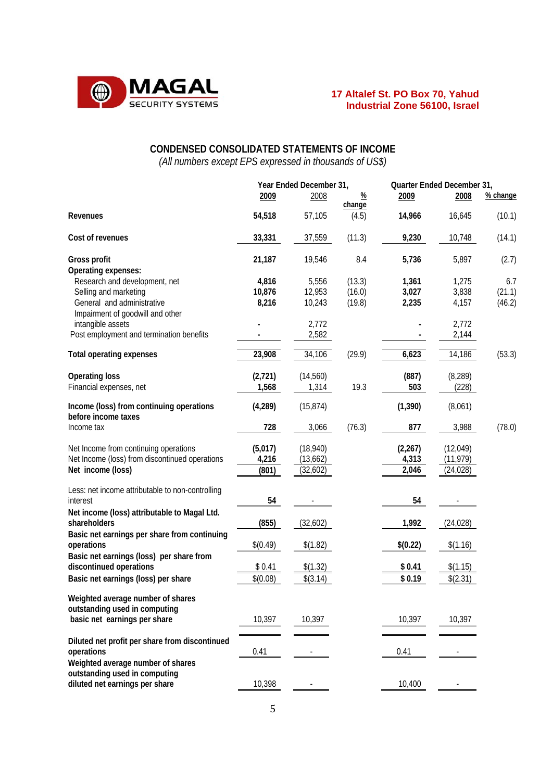

# **CONDENSED CONSOLIDATED STATEMENTS OF INCOME**  *(All numbers except EPS expressed in thousands of US\$)*

|                                                                 | Year Ended December 31, |           | Quarter Ended December 31, |          |           |          |
|-----------------------------------------------------------------|-------------------------|-----------|----------------------------|----------|-----------|----------|
|                                                                 | 2009                    | 2008      | $\frac{9}{6}$<br>change    | 2009     | 2008      | % change |
| Revenues                                                        | 54,518                  | 57,105    | (4.5)                      | 14,966   | 16,645    | (10.1)   |
| Cost of revenues                                                | 33,331                  | 37,559    | (11.3)                     | 9,230    | 10,748    | (14.1)   |
| Gross profit                                                    | 21,187                  | 19,546    | 8.4                        | 5,736    | 5,897     | (2.7)    |
| Operating expenses:                                             |                         |           |                            |          |           |          |
| Research and development, net                                   | 4,816                   | 5,556     | (13.3)                     | 1,361    | 1,275     | 6.7      |
| Selling and marketing                                           | 10,876                  | 12,953    | (16.0)                     | 3,027    | 3,838     | (21.1)   |
| General and administrative                                      | 8,216                   | 10,243    | (19.8)                     | 2,235    | 4,157     | (46.2)   |
| Impairment of goodwill and other                                |                         |           |                            |          |           |          |
| intangible assets                                               |                         | 2,772     |                            |          | 2,772     |          |
| Post employment and termination benefits                        |                         | 2,582     |                            |          | 2,144     |          |
| <b>Total operating expenses</b>                                 | 23,908                  | 34,106    | (29.9)                     | 6,623    | 14,186    | (53.3)   |
| <b>Operating loss</b>                                           | (2,721)                 | (14, 560) |                            | (887)    | (8, 289)  |          |
| Financial expenses, net                                         | 1,568                   | 1,314     | 19.3                       | 503      | (228)     |          |
|                                                                 |                         |           |                            |          |           |          |
| Income (loss) from continuing operations<br>before income taxes | (4, 289)                | (15, 874) |                            | (1, 390) | (8,061)   |          |
| Income tax                                                      | 728                     | 3,066     | (76.3)                     | 877      | 3,988     | (78.0)   |
| Net Income from continuing operations                           | (5,017)                 | (18, 940) |                            | (2, 267) | (12, 049) |          |
| Net Income (loss) from discontinued operations                  | 4,216                   | (13,662)  |                            | 4,313    | (11, 979) |          |
| Net income (loss)                                               | (801)                   | (32,602)  |                            | 2,046    | (24, 028) |          |
|                                                                 |                         |           |                            |          |           |          |
| Less: net income attributable to non-controlling                |                         |           |                            |          |           |          |
| interest                                                        | 54                      |           |                            | 54       |           |          |
| Net income (loss) attributable to Magal Ltd.                    |                         |           |                            |          |           |          |
| shareholders                                                    | (855)                   | (32,602)  |                            | 1,992    | (24, 028) |          |
| Basic net earnings per share from continuing                    |                         |           |                            |          |           |          |
| operations                                                      | \$(0.49)                | \$(1.82)  |                            | \$(0.22) | \$(1.16)  |          |
| Basic net earnings (loss) per share from                        |                         |           |                            |          |           |          |
| discontinued operations                                         | \$0.41                  | \$(1.32)  |                            | \$0.41   | \$(1.15)  |          |
| Basic net earnings (loss) per share                             | \$(0.08)                | \$(3.14)  |                            | \$0.19   | \$(2.31)  |          |
|                                                                 |                         |           |                            |          |           |          |
| Weighted average number of shares                               |                         |           |                            |          |           |          |
| outstanding used in computing                                   |                         |           |                            |          |           |          |
| basic net earnings per share                                    | 10,397                  | 10,397    |                            | 10,397   | 10,397    |          |
|                                                                 |                         |           |                            |          |           |          |
| Diluted net profit per share from discontinued                  |                         |           |                            |          |           |          |
| operations                                                      | 0.41                    |           |                            | 0.41     |           |          |
| Weighted average number of shares                               |                         |           |                            |          |           |          |
| outstanding used in computing                                   |                         |           |                            |          |           |          |
| diluted net earnings per share                                  | 10,398                  |           |                            | 10,400   |           |          |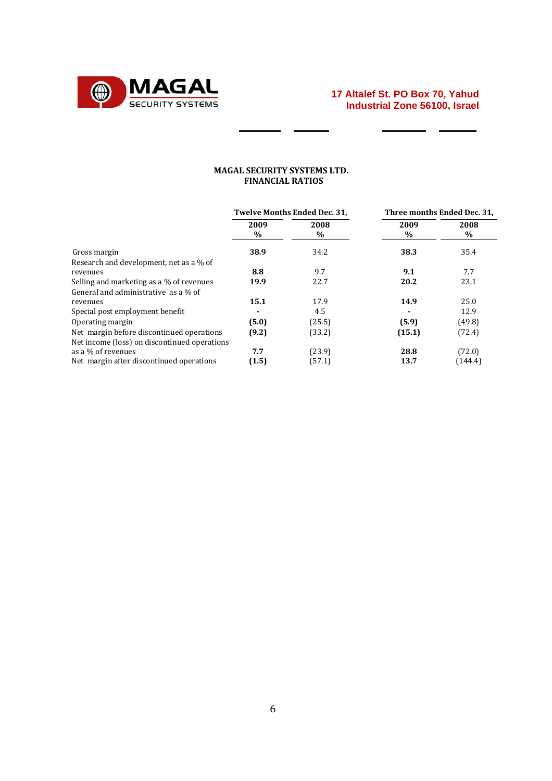

 $\overline{a}$  $\overline{\phantom{a}}$ 

 $\qquad \qquad$ 

#### **MAGAL SECURITY SYSTEMS LTD. FINANCIAL RATIOS**

 $=$   $=$ 

|                                                                                           | <b>Twelve Months Ended Dec. 31.</b> |              | Three months Ended Dec. 31. |              |
|-------------------------------------------------------------------------------------------|-------------------------------------|--------------|-----------------------------|--------------|
|                                                                                           | 2009<br>$\%$                        | 2008<br>$\%$ | 2009<br>$\%$                | 2008<br>$\%$ |
| Gross margin                                                                              | 38.9                                | 34.2         | 38.3                        | 35.4         |
| Research and development, net as a % of                                                   |                                     |              |                             |              |
| revenues                                                                                  | 8.8                                 | 9.7          | 9.1                         | 7.7          |
| Selling and marketing as a % of revenues                                                  | 19.9                                | 22.7         | 20.2                        | 23.1         |
| General and administrative as a % of                                                      |                                     |              |                             |              |
| revenues                                                                                  | 15.1                                | 17.9         | 14.9                        | 25.0         |
| Special post employment benefit                                                           |                                     | 4.5          |                             | 12.9         |
| Operating margin                                                                          | (5.0)                               | (25.5)       | (5.9)                       | (49.8)       |
| Net margin before discontinued operations<br>Net income (loss) on discontinued operations | (9.2)                               | (33.2)       | (15.1)                      | (72.4)       |
| as a % of revenues                                                                        | 7.7                                 | (23.9)       | 28.8                        | (72.0)       |
| Net margin after discontinued operations                                                  | (1.5)                               | (57.1)       | 13.7                        | (144.4)      |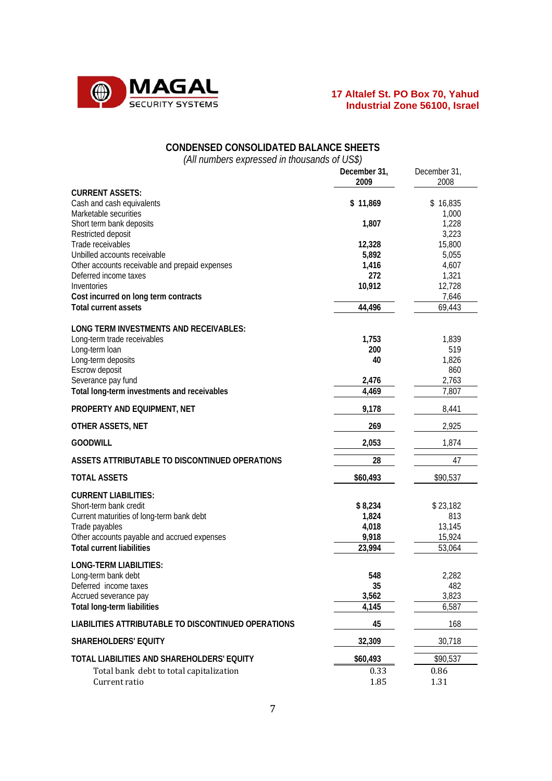

| <b>CONDENSED CONSOLIDATED BALANCE SHEETS</b>                                    |                 |                         |
|---------------------------------------------------------------------------------|-----------------|-------------------------|
| (All numbers expressed in thousands of US\$)                                    | December 31,    | December 31,            |
|                                                                                 | 2009            | 2008                    |
| <b>CURRENT ASSETS:</b><br>Cash and cash equivalents<br>Marketable securities    | \$11,869        | \$16,835                |
| Short term bank deposits<br>Restricted deposit                                  | 1,807           | 1,000<br>1,228<br>3,223 |
| Trade receivables                                                               | 12,328          | 15,800                  |
| Unbilled accounts receivable                                                    | 5,892           | 5,055                   |
| Other accounts receivable and prepaid expenses<br>Deferred income taxes         | 1,416<br>272    | 4,607<br>1,321          |
| Inventories                                                                     | 10,912          | 12,728                  |
| Cost incurred on long term contracts                                            |                 | 7,646                   |
| <b>Total current assets</b>                                                     | 44,496          | 69,443                  |
| LONG TERM INVESTMENTS AND RECEIVABLES:                                          |                 |                         |
| Long-term trade receivables                                                     | 1,753           | 1,839                   |
| Long-term loan                                                                  | 200             | 519                     |
| Long-term deposits                                                              | 40              | 1,826                   |
| Escrow deposit<br>Severance pay fund                                            | 2,476           | 860<br>2,763            |
| Total long-term investments and receivables                                     | 4,469           | 7,807                   |
| PROPERTY AND EQUIPMENT, NET                                                     | 9,178           | 8,441                   |
| OTHER ASSETS, NET                                                               | 269             | 2,925                   |
| <b>GOODWILL</b>                                                                 | 2,053           | 1,874                   |
| ASSETS ATTRIBUTABLE TO DISCONTINUED OPERATIONS                                  | 28              | 47                      |
| <b>TOTAL ASSETS</b>                                                             | \$60,493        | \$90,537                |
| <b>CURRENT LIABILITIES:</b>                                                     |                 |                         |
| Short-term bank credit                                                          | \$8,234         | \$23,182                |
| Current maturities of long-term bank debt                                       | 1,824           | 813                     |
| Trade payables                                                                  | 4,018           | 13,145                  |
| Other accounts payable and accrued expenses<br><b>Total current liabilities</b> | 9,918<br>23,994 | 15,924<br>53,064        |
|                                                                                 |                 |                         |
| <b>LONG-TERM LIABILITIES:</b><br>Long-term bank debt                            | 548             | 2,282                   |
| Deferred income taxes                                                           | 35              | 482                     |
| Accrued severance pay                                                           | 3,562           | 3,823                   |
| Total long-term liabilities                                                     | 4,145           | 6,587                   |
| LIABILITIES ATTRIBUTABLE TO DISCONTINUED OPERATIONS                             | 45              | 168                     |
| <b>SHAREHOLDERS' EQUITY</b>                                                     | 32,309          | 30,718                  |
| TOTAL LIABILITIES AND SHAREHOLDERS' EQUITY                                      | \$60,493        | \$90,537                |
| Total bank debt to total capitalization                                         | 0.33            | 0.86                    |
| Current ratio                                                                   | 1.85            | 1.31                    |